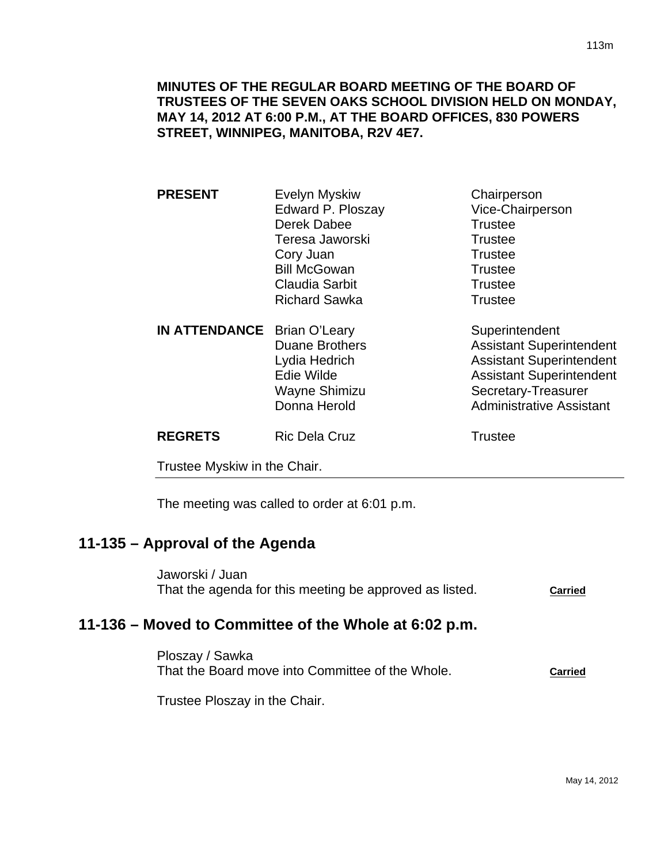## **MINUTES OF THE REGULAR BOARD MEETING OF THE BOARD OF TRUSTEES OF THE SEVEN OAKS SCHOOL DIVISION HELD ON MONDAY, MAY 14, 2012 AT 6:00 P.M., AT THE BOARD OFFICES, 830 POWERS STREET, WINNIPEG, MANITOBA, R2V 4E7.**

| <b>PRESENT</b>              | <b>Evelyn Myskiw</b>  | Chairperson                     |
|-----------------------------|-----------------------|---------------------------------|
|                             | Edward P. Ploszay     | Vice-Chairperson                |
|                             | Derek Dabee           | <b>Trustee</b>                  |
|                             | Teresa Jaworski       | <b>Trustee</b>                  |
|                             | Cory Juan             | <b>Trustee</b>                  |
|                             | <b>Bill McGowan</b>   | <b>Trustee</b>                  |
|                             | <b>Claudia Sarbit</b> | <b>Trustee</b>                  |
|                             | <b>Richard Sawka</b>  | <b>Trustee</b>                  |
| IN ATTENDANCE Brian O'Leary |                       | Superintendent                  |
|                             | <b>Duane Brothers</b> | <b>Assistant Superintendent</b> |
|                             | Lydia Hedrich         | <b>Assistant Superintendent</b> |
|                             | Edie Wilde            | <b>Assistant Superintendent</b> |
|                             | Wayne Shimizu         | Secretary-Treasurer             |
|                             | Donna Herold          | <b>Administrative Assistant</b> |
| <b>REGRETS</b>              | <b>Ric Dela Cruz</b>  | <b>Trustee</b>                  |
|                             |                       |                                 |

Trustee Myskiw in the Chair.

The meeting was called to order at 6:01 p.m.

# **11-135 – Approval of the Agenda**

Jaworski / Juan That the agenda for this meeting be approved as listed. **Carried**

# **11-136 – Moved to Committee of the Whole at 6:02 p.m.**

Ploszay / Sawka That the Board move into Committee of the Whole. **Carried**

Trustee Ploszay in the Chair.